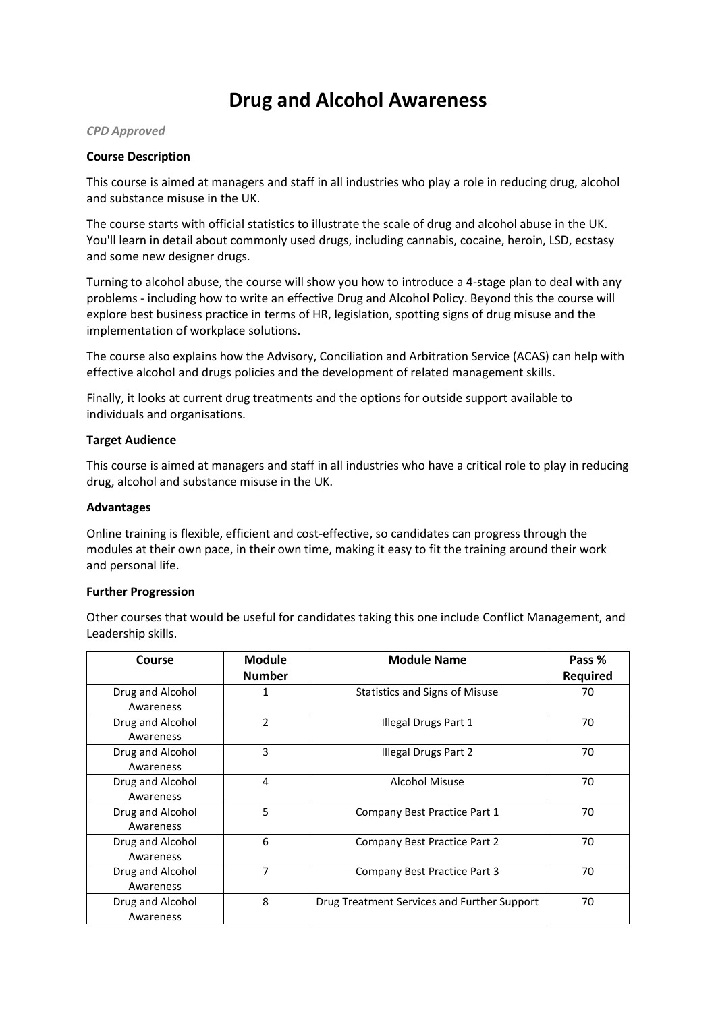# **Drug and Alcohol Awareness**

#### *CPD Approved*

## **Course Description**

This course is aimed at managers and staff in all industries who play a role in reducing drug, alcohol and substance misuse in the UK.

The course starts with official statistics to illustrate the scale of drug and alcohol abuse in the UK. You'll learn in detail about commonly used drugs, including cannabis, cocaine, heroin, LSD, ecstasy and some new designer drugs.

Turning to alcohol abuse, the course will show you how to introduce a 4-stage plan to deal with any problems - including how to write an effective Drug and Alcohol Policy. Beyond this the course will explore best business practice in terms of HR, legislation, spotting signs of drug misuse and the implementation of workplace solutions.

The course also explains how the Advisory, Conciliation and Arbitration Service (ACAS) can help with effective alcohol and drugs policies and the development of related management skills.

Finally, it looks at current drug treatments and the options for outside support available to individuals and organisations.

## **Target Audience**

This course is aimed at managers and staff in all industries who have a critical role to play in reducing drug, alcohol and substance misuse in the UK.

#### **Advantages**

Online training is flexible, efficient and cost-effective, so candidates can progress through the modules at their own pace, in their own time, making it easy to fit the training around their work and personal life.

#### **Further Progression**

Other courses that would be useful for candidates taking this one include Conflict Management, and Leadership skills.

| Course                        | <b>Module</b>  | <b>Module Name</b>                          | Pass %          |
|-------------------------------|----------------|---------------------------------------------|-----------------|
|                               | <b>Number</b>  |                                             | <b>Required</b> |
| Drug and Alcohol<br>Awareness | 1              | <b>Statistics and Signs of Misuse</b>       | 70              |
| Drug and Alcohol<br>Awareness | $\overline{2}$ | Illegal Drugs Part 1                        | 70              |
| Drug and Alcohol<br>Awareness | 3              | Illegal Drugs Part 2                        | 70              |
| Drug and Alcohol<br>Awareness | 4              | Alcohol Misuse                              | 70              |
| Drug and Alcohol<br>Awareness | 5              | Company Best Practice Part 1                | 70              |
| Drug and Alcohol<br>Awareness | 6              | Company Best Practice Part 2                | 70              |
| Drug and Alcohol<br>Awareness | 7              | Company Best Practice Part 3                | 70              |
| Drug and Alcohol<br>Awareness | 8              | Drug Treatment Services and Further Support | 70              |